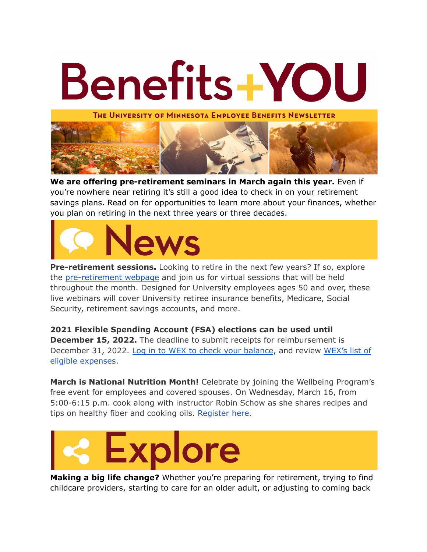

**We are offering pre-retirement seminars in March again this year.** Even if you're nowhere near retiring it's still a good idea to check in on your retirement savings plans. Read on for opportunities to learn more about your finances, whether you plan on retiring in the next three years or three decades.



**Pre-retirement sessions.** Looking to retire in the next few years? If so, explore the [pre-retirement](https://humanresources.umn.edu/retirement-savings/pre-retirement-seminar-2021-online-resources) webpage and join us for virtual sessions that will be held throughout the month. Designed for University employees ages 50 and over, these live webinars will cover University retiree insurance benefits, Medicare, Social Security, retirement savings accounts, and more.

**2021 Flexible Spending Account (FSA) elections can be used until December 15, 2022.** The deadline to submit receipts for reimbursement is December 31, 2022. Log in to WEX to check your [balance](https://login.umn.edu/idp/profile/SAML2/Unsolicited/SSO?providerId=https%3a%2f%2fbenefitsservice.com%2fshibboleth), and review [WEX's](https://www.wexinc.com/insights/benefits-toolkit/eligible-expenses/) list of eligible [expenses](https://www.wexinc.com/insights/benefits-toolkit/eligible-expenses/).

**March is National Nutrition Month!** Celebrate by joining the Wellbeing Program's free event for employees and covered spouses. On Wednesday, March 16, from 5:00-6:15 p.m. cook along with instructor Robin Schow as she shares recipes and tips on healthy fiber and cooking oils. [Register](https://umn.zoom.us/j/93058134198?pwd=TDUzdnB1UTFrUFBsRnQ2ZXYvcHpLdz09) here.



**Making a big life change?** Whether you're preparing for retirement, trying to find childcare providers, starting to care for an older adult, or adjusting to coming back